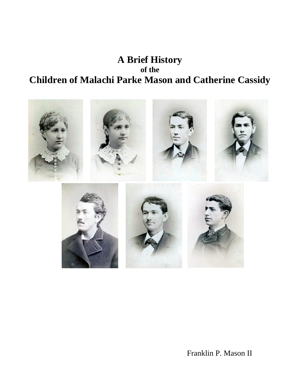## **A Brief History of the Children of Malachi Parke Mason and Catherine Cassidy**



Franklin P. Mason II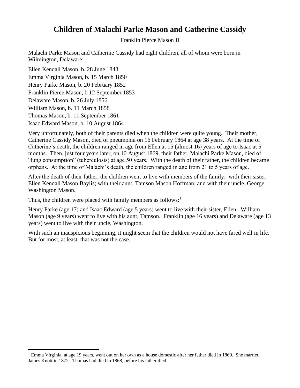## **Children of Malachi Parke Mason and Catherine Cassidy**

Franklin Pierce Mason II

Malachi Parke Mason and Catherine Cassidy had eight children, all of whom were born in Wilmington, Delaware:

Ellen Kendall Mason, b. 28 June 1848 Emma Virginia Mason, b. 15 March 1850 Henry Parke Mason, b. 20 February 1852 Franklin Pierce Mason, b 12 September 1853 Delaware Mason, b. 26 July 1856 William Mason, b. 11 March 1858 Thomas Mason, b. 11 September 1861 Isaac Edward Mason, b. 10 August 1864

Very unfortunately, both of their parents died when the children were quite young. Their mother, Catherine Cassidy Mason, died of pneumonia on 16 February 1864 at age 38 years. At the time of Catherine's death, the children ranged in age from Ellen at 15 (almost 16) years of age to Isaac at 5 months. Then, just four years later, on 10 August 1869, their father, Malachi Parke Mason, died of "lung consumption" (tuberculosis) at age 50 years. With the death of their father, the children became orphans. At the time of Malachi's death, the children ranged in age from 21 to 5 years of age.

After the death of their father, the children went to live with members of the family: with their sister, Ellen Kendall Mason Baylis; with their aunt, Tamson Mason Hoffman; and with their uncle, George Washington Mason.

Thus, the children were placed with family members as follows:<sup>1</sup>

Henry Parke (age 17) and Isaac Edward (age 5 years) went to live with their sister, Ellen. William Mason (age 9 years) went to live with his aunt, Tamson. Franklin (age 16 years) and Delaware (age 13 years) went to live with their uncle, Washington.

With such an inauspicious beginning, it might seem that the children would not have fared well in life. But for most, at least, that was not the case.

<sup>&</sup>lt;sup>1</sup> Emma Virginia, at age 19 years, went out on her own as a house domestic after her father died in 1869. She married James Knott in 1872. Thomas had died in 1868, before his father died.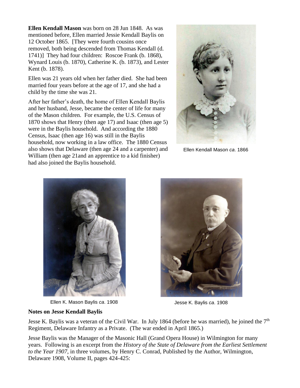**Ellen Kendall Mason** was born on 28 Jun 1848. As was mentioned before, Ellen married Jessie Kendall Baylis on 12 October 1865. [They were fourth cousins once removed, both being descended from Thomas Kendall (d. 1741)] They had four children: Roscoe Frank (b. 1868), Wynard Louis (b. 1870), Catherine K. (b. 1873), and Lester Kent (b. 1878).

Ellen was 21 years old when her father died. She had been married four years before at the age of 17, and she had a child by the time she was 21.

After her father's death, the home of Ellen Kendall Baylis and her husband, Jesse, became the center of life for many of the Mason children. For example, the U.S. Census of 1870 shows that Henry (then age 17) and Isaac (then age 5) were in the Baylis household. And according the 1880 Census, Isaac (then age 16) was still in the Baylis household, now working in a law office. The 1880 Census also shows that Delaware (then age 24 and a carpenter) and William (then age 21and an apprentice to a kid finisher) had also joined the Baylis household.



Ellen Kendall Mason *ca*. 1866



Ellen K. Mason Baylis *ca*. 1908 Jesse K. Baylis *ca*. 1908



## **Notes on Jesse Kendall Baylis**

Jesse K. Baylis was a veteran of the Civil War. In July 1864 (before he was married), he joined the  $7<sup>th</sup>$ Regiment, Delaware Infantry as a Private. (The war ended in April 1865.)

Jesse Baylis was the Manager of the Masonic Hall (Grand Opera House) in Wilmington for many years. Following is an excerpt from the *History of the State of Delaware from the Earliest Settlement to the Year 1907*, in three volumes, by Henry C. Conrad, Published by the Author, Wilmington, Delaware 1908, Volume II, pages 424-425: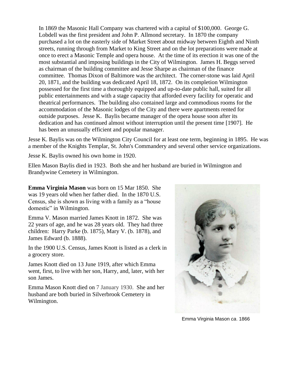In 1869 the Masonic Hall Company was chartered with a capital of \$100,000. George G. Lobdell was the first president and John P. Allmond secretary. In 1870 the company purchased a lot on the easterly side of Market Street about midway between Eighth and Ninth streets, running through from Market to King Street and on the lot preparations were made at once to erect a Masonic Temple and opera house. At the time of its erection it was one of the most substantial and imposing buildings in the City of Wilmington. James H. Beggs served as chairman of the building committee and Jesse Sharpe as chairman of the finance committee. Thomas Dixon of Baltimore was the architect. The corner-stone was laid April 20, 1871, and the building was dedicated April 18, 1872. On its completion Wilmington possessed for the first time a thoroughly equipped and up-to-date public hall, suited for all public entertainments and with a stage capacity that afforded every facility for operatic and theatrical performances. The building also contained large and commodious rooms for the accommodation of the Masonic lodges of the City and there were apartments rented for outside purposes. Jesse K. Baylis became manager of the opera house soon after its dedication and has continued almost without interruption until the present time [1907]. He has been an unusually efficient and popular manager.

Jesse K. Baylis was on the Wilmington City Council for at least one term, beginning in 1895. He was a member of the Knights Templar, St. John's Commandery and several other service organizations.

Jesse K. Baylis owned his own home in 1920.

Ellen Mason Baylis died in 1923. Both she and her husband are buried in Wilmington and Brandywine Cemetery in Wilmington.

**Emma Virginia Mason** was born on 15 Mar 1850. She was 19 years old when her father died. In the 1870 U.S. Census, she is shown as living with a family as a "house domestic" in Wilmington.

Emma V. Mason married James Knott in 1872. She was 22 years of age, and he was 28 years old. They had three children: Harry Parke (b. 1875), Mary V. (b. 1878), and James Edward (b. 1888).

In the 1900 U.S. Census, James Knott is listed as a clerk in a grocery store.

James Knott died on 13 June 1919, after which Emma went, first, to live with her son, Harry, and, later, with her son James.

Emma Mason Knott died on 7 January 1930. She and her husband are both buried in Silverbrook Cemetery in Wilmington.



Emma Virginia Mason *ca*. 1866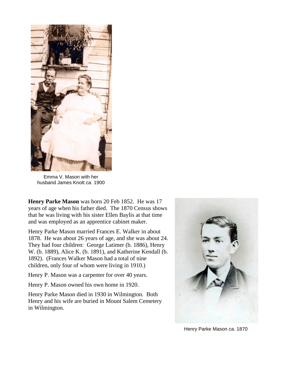

Emma V. Mason with her husband James Knott *ca*. 1900

**Henry Parke Mason** was born 20 Feb 1852. He was 17 years of age when his father died. The 1870 Census shows that he was living with his sister Ellen Baylis at that time and was employed as an apprentice cabinet maker.

Henry Parke Mason married Frances E. Walker in about 1878. He was about 26 years of age, and she was about 24. They had four children: George Latimer (b. 1886), Henry W. (b. 1889), Alice K. (b. 1891), and Katherine Kendall (b. 1892). (Frances Walker Mason had a total of nine children, only four of whom were living in 1910.)

Henry P. Mason was a carpenter for over 40 years.

Henry P. Mason owned his own home in 1920.

Henry Parke Mason died in 1930 in Wilmington. Both Henry and his wife are buried in Mount Salem Cemetery in Wilmington.



Henry Parke Mason *ca*. 1870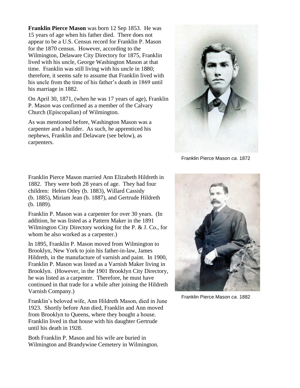**Franklin Pierce Mason** was born 12 Sep 1853. He was 15 years of age when his father died. There does not appear to be a U.S. Census record for Franklin P. Mason for the 1870 census. However, according to the Wilmington, Delaware City Directory for 1875, Franklin lived with his uncle, George Washington Mason at that time. Franklin was still living with his uncle in 1880; therefore, it seems safe to assume that Franklin lived with his uncle from the time of his father's death in 1869 until his marriage in 1882.

On April 30, 1871, (when he was 17 years of age), Franklin P. Mason was confirmed as a member of the Calvary Church (Episcopalian) of Wilmington.

As was mentioned before, Washington Mason was a carpenter and a builder. As such, he apprenticed his nephews, Franklin and Delaware (see below), as carpenters.



Franklin Pierce Mason *ca*. 1872

Franklin Pierce Mason married Ann Elizabeth Hildreth in 1882. They were both 28 years of age. They had four children: Helen Otley (b. 1883), Willard Cassidy (b. 1885), Miriam Jean (b. 1887), and Gertrude Hildreth (b. 1889).

Franklin P. Mason was a carpenter for over 30 years. (In addition, he was listed as a Pattern Maker in the 1891 Wilmington City Directory working for the P. & J. Co., for whom he also worked as a carpenter.)

In 1895, Franklin P. Mason moved from Wilmington to Brooklyn, New York to join his father-in-law, James Hildreth, in the manufacture of varnish and paint. In 1900, Franklin P. Mason was listed as a Varnish Maker living in Brooklyn. (However, in the 1901 Brooklyn City Directory, he was listed as a carpenter. Therefore, he must have continued in that trade for a while after joining the Hildreth Varnish Company.)

Franklin's beloved wife, Ann Hildreth Mason, died in June 1923. Shortly before Ann died, Franklin and Ann moved from Brooklyn to Queens, where they bought a house. Franklin lived in that house with his daughter Gertrude until his death in 1928.

Both Franklin P. Mason and his wife are buried in Wilmington and Brandywine Cemetery in Wilmington.



Franklin Pierce Mason *ca*. 1882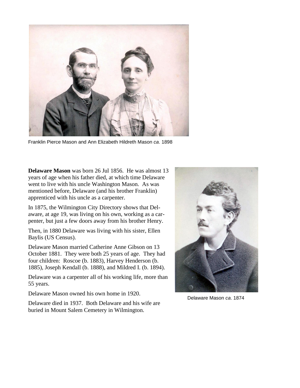

Franklin Pierce Mason and Ann Elizabeth Hildreth Mason *ca*. 1898

**Delaware Mason** was born 26 Jul 1856. He was almost 13 years of age when his father died, at which time Delaware went to live with his uncle Washington Mason. As was mentioned before, Delaware (and his brother Franklin) apprenticed with his uncle as a carpenter.

In 1875, the Wilmington City Directory shows that Delaware, at age 19, was living on his own, working as a carpenter, but just a few doors away from his brother Henry.

Then, in 1880 Delaware was living with his sister, Ellen Baylis (US Census).

Delaware Mason married Catherine Anne Gibson on 13 October 1881. They were both 25 years of age. They had four children: Roscoe (b. 1883), Harvey Henderson (b. 1885), Joseph Kendall (b. 1888), and Mildred I. (b. 1894).

Delaware was a carpenter all of his working life, more than 55 years.

Delaware Mason owned his own home in 1920.

Delaware died in 1937. Both Delaware and his wife are buried in Mount Salem Cemetery in Wilmington.



Delaware Mason *ca*. 1874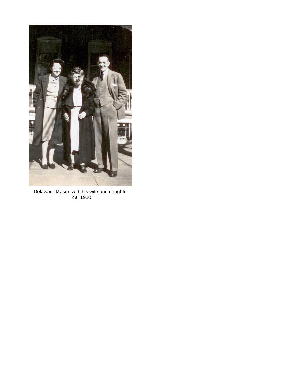

Delaware Mason with his wife and daughter *ca.* 1920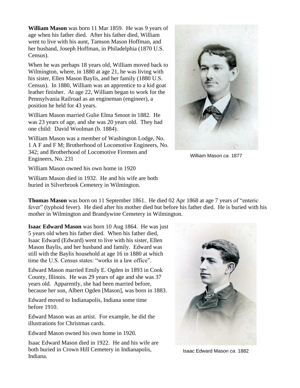**William Mason** was born 11 Mar 1859. He was 9 years of age when his father died. After his father died, William went to live with his aunt, Tamson Mason Hoffman, and her husband, Joseph Hoffman, in Philadelphia (1870 U.S. Census).

When he was perhaps 18 years old, William moved back to Wilmington, where, in 1880 at age 21, he was living with his sister, Ellen Mason Baylis, and her family (1880 U.S. Census). In 1880, William was an apprentice to a kid goat leather finisher. At age 22, William began to work for the Pennsylvania Railroad as an engineman (engineer), a position he held for 43 years.

William Mason married Gulie Elma Smoot in 1882. He was 23 years of age, and she was 20 years old. They had one child: David Woolman (b. 1884).

William Mason was a member of Washington Lodge, No. 1 A F and F M; Brotherhood of Locomotive Engineers, No. 342; and Brotherhood of Locomotive Firemen and Engineers, No. 231



William Mason *ca*. 1877

William Mason owned his own home in 1920

William Mason died in 1932. He and his wife are both buried in Silverbrook Cemetery in Wilmington.

**Thomas Mason** was born on 11 September 1861. He died 02 Apr 1868 at age 7 years of "enteric fever" (typhoid fever). He died after his mother died but before his father died. He is buried with his mother in Wilmington and Brandywine Cemetery in Wilmington.

**Isaac Edward Mason** was born 10 Aug 1864. He was just 5 years old when his father died. When his father died, Isaac Edward (Edward) went to live with his sister, Ellen Mason Baylis, and her husband and family. Edward was still with the Baylis household at age 16 in 1880 at which time the U.S. Census states: "works in a law office".

Edward Mason married Emily E. Ogden in 1893 in Cook County, Illinois. He was 29 years of age and she was 37 years old. Apparently, she had been married before, because her son, Albert Ogden [Mason], was born in 1883.

Edward moved to Indianapolis, Indiana some time before 1910.

Edward Mason was an artist. For example, he did the illustrations for Christmas cards.

Edward Mason owned his own home in 1920.

Isaac Edward Mason died in 1922. He and his wife are both buried in Crown Hill Cemetery in Indianapolis, Indiana.



Isaac Edward Mason *ca*. 1882